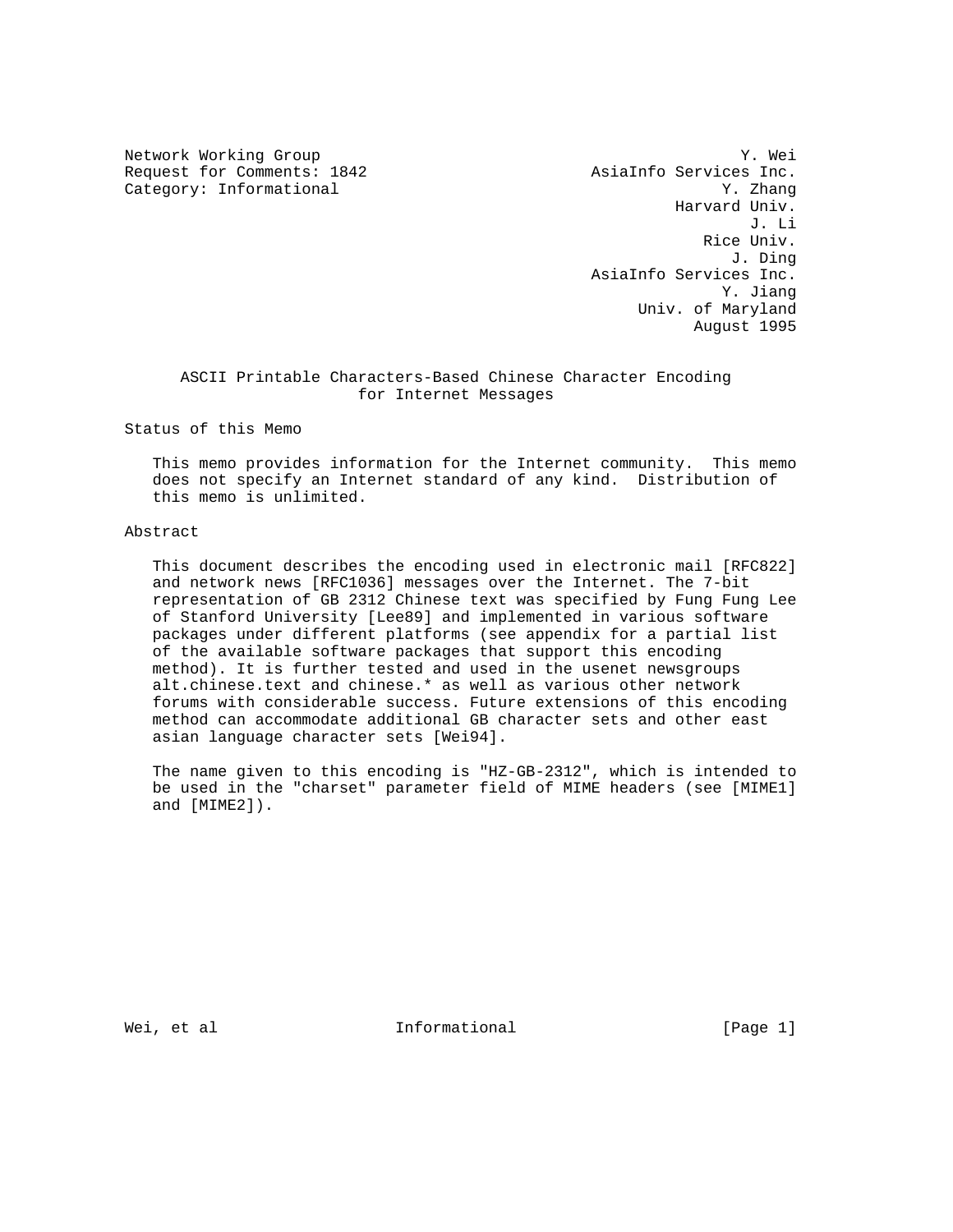Request for Comments: 1842 <br>Category: Informational and Manuscule and Manuscus and Manuscus V. Zhang Category: Informational

Network Working Group 30 and 1999 and 1999 and 1999 and 1999 and 1999 and 1999 and 1999 and 1999 and 1999 and 1 Harvard Univ. J. Li Rice Univ. J. Ding AsiaInfo Services Inc. Y. Jiang Univ. of Maryland August 1995

# ASCII Printable Characters-Based Chinese Character Encoding for Internet Messages

Status of this Memo

 This memo provides information for the Internet community. This memo does not specify an Internet standard of any kind. Distribution of this memo is unlimited.

# Abstract

 This document describes the encoding used in electronic mail [RFC822] and network news [RFC1036] messages over the Internet. The 7-bit representation of GB 2312 Chinese text was specified by Fung Fung Lee of Stanford University [Lee89] and implemented in various software packages under different platforms (see appendix for a partial list of the available software packages that support this encoding method). It is further tested and used in the usenet newsgroups alt.chinese.text and chinese.\* as well as various other network forums with considerable success. Future extensions of this encoding method can accommodate additional GB character sets and other east asian language character sets [Wei94].

 The name given to this encoding is "HZ-GB-2312", which is intended to be used in the "charset" parameter field of MIME headers (see [MIME1] and [MIME2]).

Wei, et al informational informational [Page 1]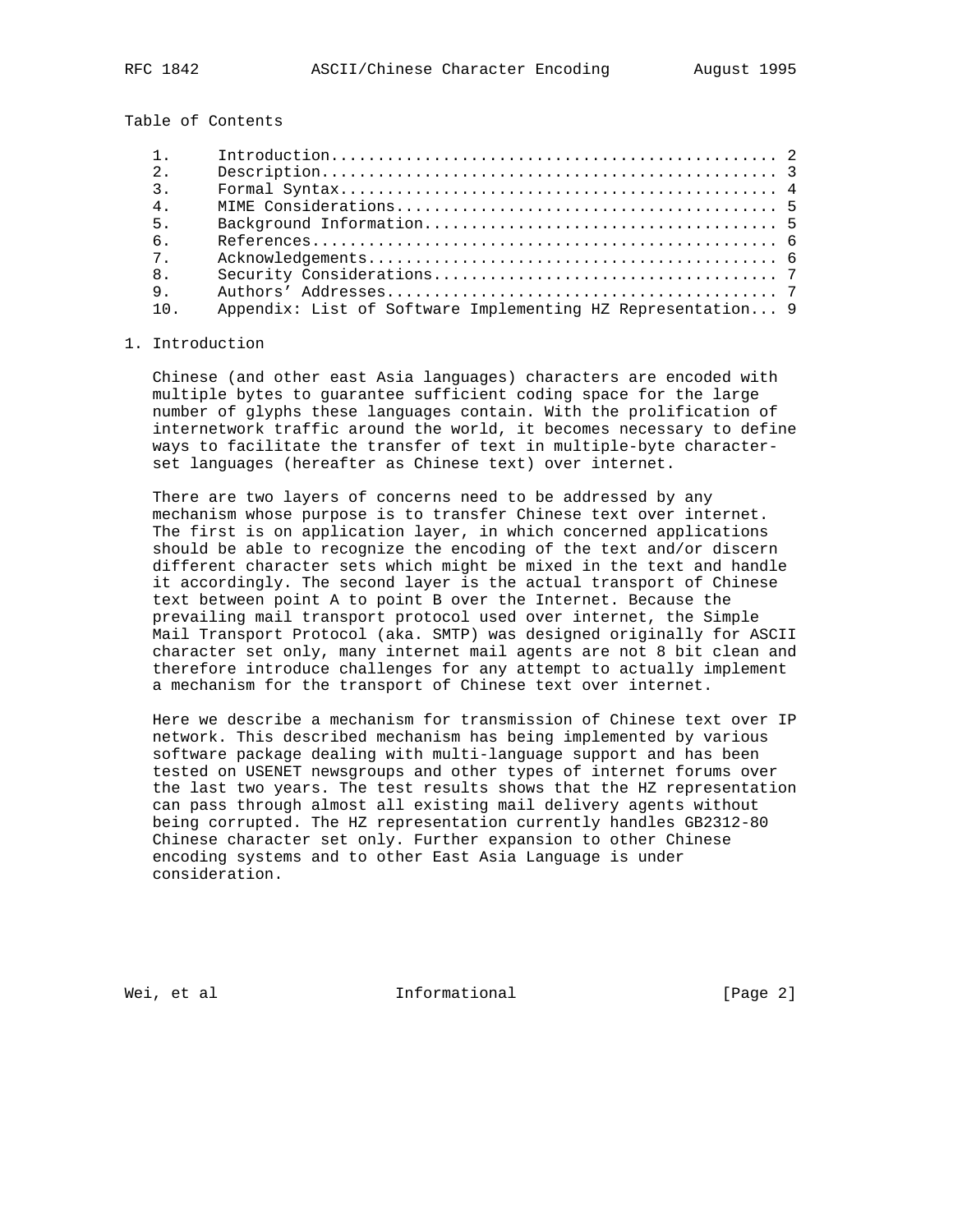Table of Contents

| 1              |                                                             |  |
|----------------|-------------------------------------------------------------|--|
| 2 <sup>1</sup> |                                                             |  |
| $\mathcal{E}$  |                                                             |  |
| 4 <sub>1</sub> |                                                             |  |
| 5.             |                                                             |  |
| 6.             |                                                             |  |
| $7^{\circ}$    |                                                             |  |
| 8 <sub>1</sub> |                                                             |  |
| 9.             |                                                             |  |
| 10             | Appendix: List of Software Implementing HZ Representation 9 |  |

#### 1. Introduction

 Chinese (and other east Asia languages) characters are encoded with multiple bytes to guarantee sufficient coding space for the large number of glyphs these languages contain. With the prolification of internetwork traffic around the world, it becomes necessary to define ways to facilitate the transfer of text in multiple-byte character set languages (hereafter as Chinese text) over internet.

 There are two layers of concerns need to be addressed by any mechanism whose purpose is to transfer Chinese text over internet. The first is on application layer, in which concerned applications should be able to recognize the encoding of the text and/or discern different character sets which might be mixed in the text and handle it accordingly. The second layer is the actual transport of Chinese text between point A to point B over the Internet. Because the prevailing mail transport protocol used over internet, the Simple Mail Transport Protocol (aka. SMTP) was designed originally for ASCII character set only, many internet mail agents are not 8 bit clean and therefore introduce challenges for any attempt to actually implement a mechanism for the transport of Chinese text over internet.

 Here we describe a mechanism for transmission of Chinese text over IP network. This described mechanism has being implemented by various software package dealing with multi-language support and has been tested on USENET newsgroups and other types of internet forums over the last two years. The test results shows that the HZ representation can pass through almost all existing mail delivery agents without being corrupted. The HZ representation currently handles GB2312-80 Chinese character set only. Further expansion to other Chinese encoding systems and to other East Asia Language is under consideration.

Wei, et al informational informational [Page 2]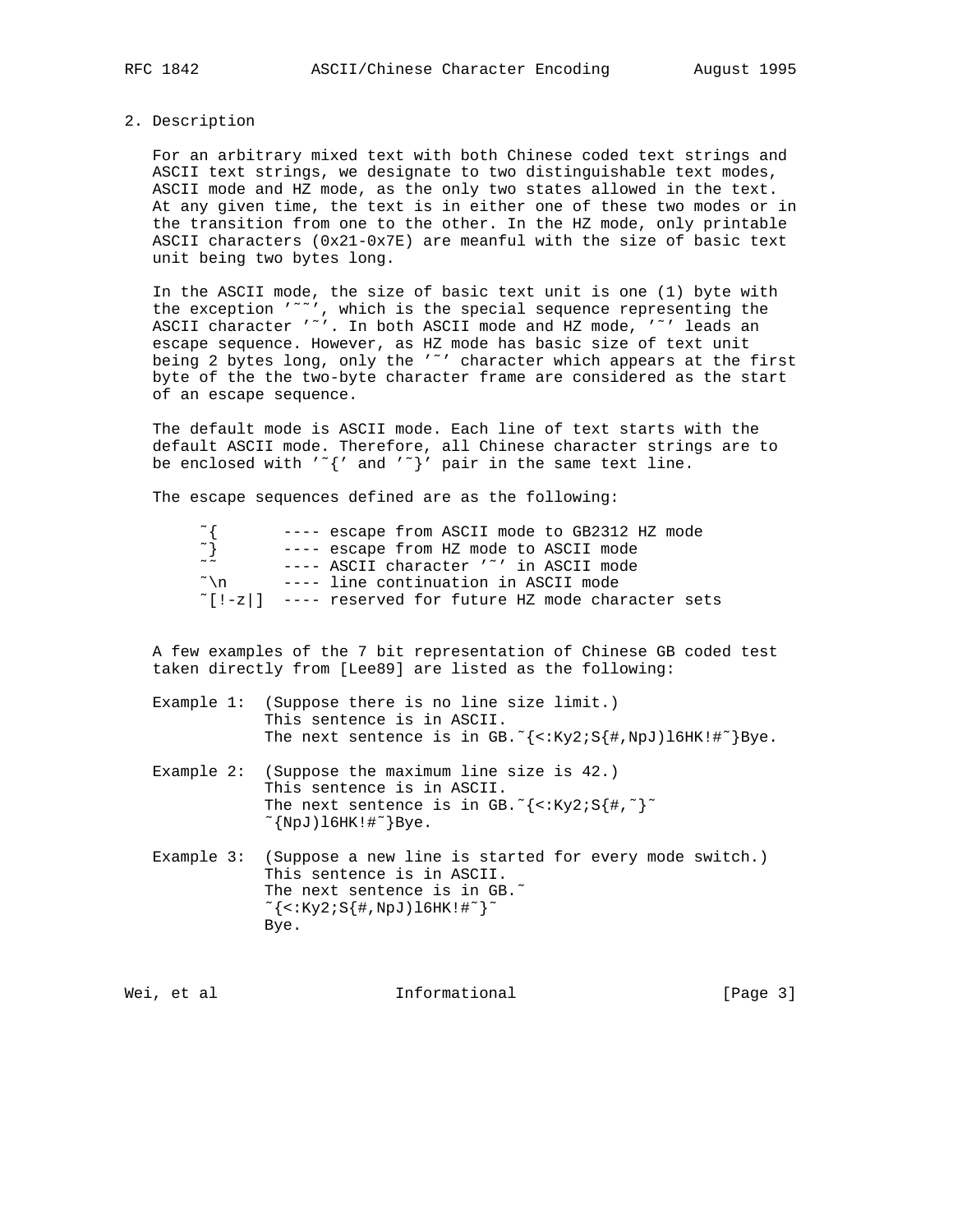#### 2. Description

 For an arbitrary mixed text with both Chinese coded text strings and ASCII text strings, we designate to two distinguishable text modes, ASCII mode and HZ mode, as the only two states allowed in the text. At any given time, the text is in either one of these two modes or in the transition from one to the other. In the HZ mode, only printable ASCII characters (0x21-0x7E) are meanful with the size of basic text unit being two bytes long.

 In the ASCII mode, the size of basic text unit is one (1) byte with the exception '˜˜', which is the special sequence representing the ASCII character '"'. In both ASCII mode and HZ mode, '"' leads an escape sequence. However, as HZ mode has basic size of text unit being 2 bytes long, only the '"' character which appears at the first byte of the the two-byte character frame are considered as the start of an escape sequence.

 The default mode is ASCII mode. Each line of text starts with the default ASCII mode. Therefore, all Chinese character strings are to be enclosed with  $'\tilde{\ }'$  and  $'\tilde{\ }'$  pair in the same text line.

The escape sequences defined are as the following:

| $\sim$ 1        | ---- escape from ASCII mode to GB2312 HZ mode                   |
|-----------------|-----------------------------------------------------------------|
| $\sim$ }        | ---- escape from HZ mode to ASCII mode                          |
| $\sim$ $\sim$   | $---$ ASCII character '"' in ASCII mode                         |
| $\tilde{\ }$ \n | ---- line continuation in ASCII mode                            |
|                 | $\lceil$ [!-z ] ---- reserved for future HZ mode character sets |

 A few examples of the 7 bit representation of Chinese GB coded test taken directly from [Lee89] are listed as the following:

| Example $1:$ (Suppose there is no line size limit.)                                                |  |  |  |
|----------------------------------------------------------------------------------------------------|--|--|--|
| This sentence is in ASCII.                                                                         |  |  |  |
| The next sentence is in GB. $\frac{1}{3}$ <: Ky2; S $\frac{1}{3}$ #, NpJ) 16HK! $\frac{1}{3}$ Bye. |  |  |  |

- Example 2: (Suppose the maximum line size is 42.) This sentence is in ASCII. The next sentence is in GB.  $\zeta$  <: Ky2; S $\{\#$ ,  $\zeta$   $\}$  $\lceil NpJ\rceil$ 16HK! $\lceil \lceil NpJ\rceil \rceil$ Bye.
- Example 3: (Suppose a new line is started for every mode switch.) This sentence is in ASCII. The next sentence is in GB.<sup>~</sup>  $\sim$ {<:Ky2;S{#,NpJ)l6HK!#~}~ Bye.

Wei, et al informational informational [Page 3]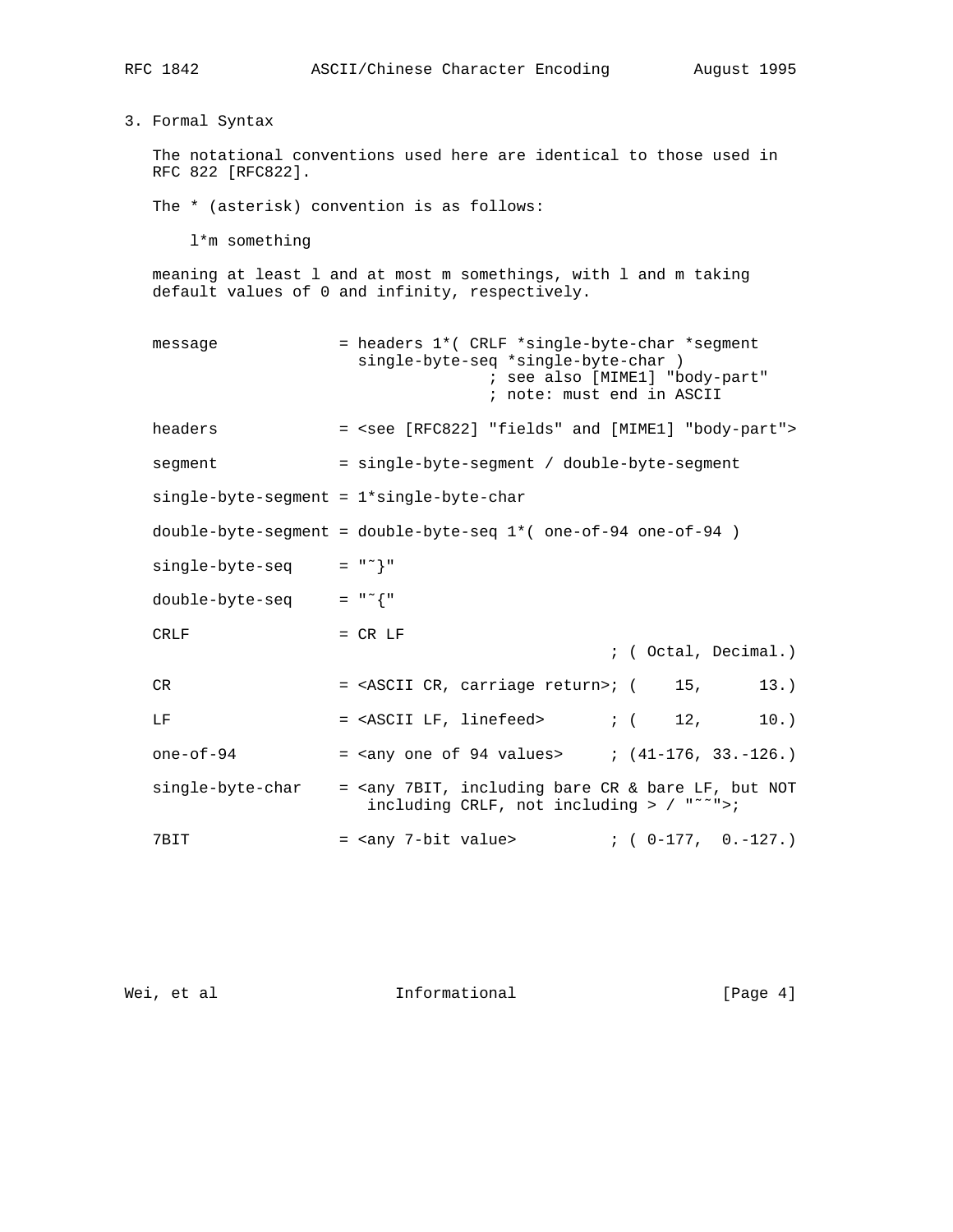3. Formal Syntax

 The notational conventions used here are identical to those used in RFC 822 [RFC822].

The \* (asterisk) convention is as follows:

l\*m something

 meaning at least l and at most m somethings, with l and m taking default values of 0 and infinity, respectively.

| message                                  | = headers 1*( CRLF *single-byte-char *segment<br>single-byte-seq *single-byte-char )<br>; see also [MIME1] "body-part"<br>; note: must end in ASCII                 |
|------------------------------------------|---------------------------------------------------------------------------------------------------------------------------------------------------------------------|
| headers                                  | = <see "body-part"="" "fields"="" [mime1]="" [rfc822]="" and=""></see>                                                                                              |
| segment                                  | = single-byte-segment / double-byte-segment                                                                                                                         |
| single-byte-segment = 1*single-byte-char |                                                                                                                                                                     |
|                                          | double-byte-segment = double-byte-seq $1*($ one-of-94 one-of-94 $)$                                                                                                 |
| single-byte-seg                          | $=$ " $\sim$ } "                                                                                                                                                    |
| double-byte-seq                          | $=$ $\mathbb{R}$ $\sim$ { $\mathbb{R}$                                                                                                                              |
| <b>CRLF</b>                              | $= CR LF$<br>: (Octal, Decimal.)                                                                                                                                    |
| CR                                       | 15,<br>13.<br>= <ascii carriage="" cr,="" return="">; (</ascii>                                                                                                     |
| LF                                       | $=$ <ascii lf,="" linefeed=""> ; ( 12,<br/>10.</ascii>                                                                                                              |
| one-of- $94$                             | = $\langle \text{any one of 94 values} \rangle$ ; $(41-176, 33,-126.)$                                                                                              |
| single-byte-char                         | = <any &="" 7bit,="" bare="" but="" cr="" including="" lf,="" not<br="">including CRLF, not including &gt; <math>/</math> "<sup><math>\sim</math></sup>"&gt;;</any> |
| 7BIT                                     | $: (0-177, 0,-127.)$<br>= <any 7-bit="" value=""></any>                                                                                                             |

Wei, et al **Informational** [Page 4]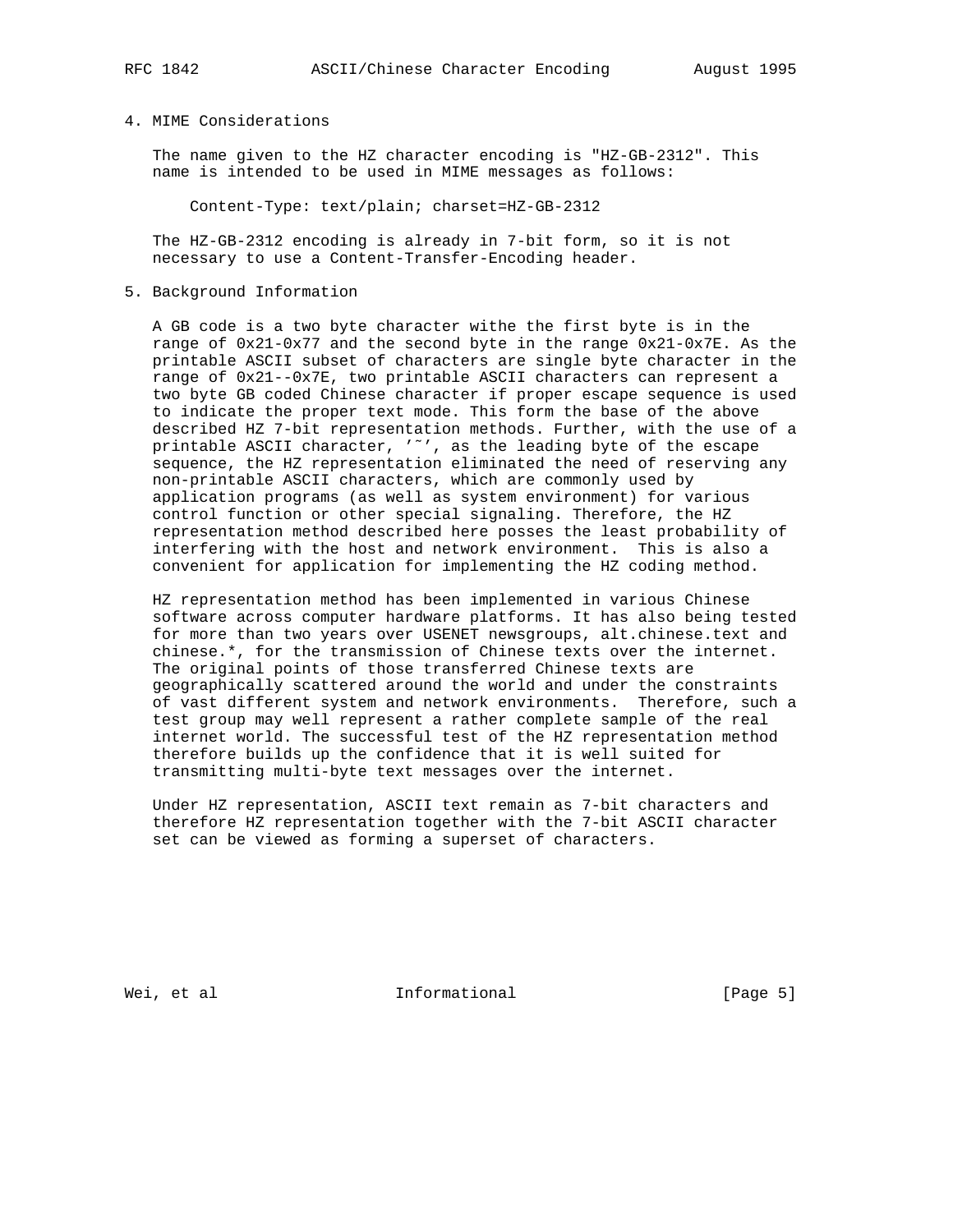# 4. MIME Considerations

 The name given to the HZ character encoding is "HZ-GB-2312". This name is intended to be used in MIME messages as follows:

Content-Type: text/plain; charset=HZ-GB-2312

 The HZ-GB-2312 encoding is already in 7-bit form, so it is not necessary to use a Content-Transfer-Encoding header.

5. Background Information

 A GB code is a two byte character withe the first byte is in the range of 0x21-0x77 and the second byte in the range 0x21-0x7E. As the printable ASCII subset of characters are single byte character in the range of 0x21--0x7E, two printable ASCII characters can represent a two byte GB coded Chinese character if proper escape sequence is used to indicate the proper text mode. This form the base of the above described HZ 7-bit representation methods. Further, with the use of a printable ASCII character, '˜', as the leading byte of the escape sequence, the HZ representation eliminated the need of reserving any non-printable ASCII characters, which are commonly used by application programs (as well as system environment) for various control function or other special signaling. Therefore, the HZ representation method described here posses the least probability of interfering with the host and network environment. This is also a convenient for application for implementing the HZ coding method.

 HZ representation method has been implemented in various Chinese software across computer hardware platforms. It has also being tested for more than two years over USENET newsgroups, alt.chinese.text and chinese.\*, for the transmission of Chinese texts over the internet. The original points of those transferred Chinese texts are geographically scattered around the world and under the constraints of vast different system and network environments. Therefore, such a test group may well represent a rather complete sample of the real internet world. The successful test of the HZ representation method therefore builds up the confidence that it is well suited for transmitting multi-byte text messages over the internet.

 Under HZ representation, ASCII text remain as 7-bit characters and therefore HZ representation together with the 7-bit ASCII character set can be viewed as forming a superset of characters.

Wei, et al **Informational Informational** [Page 5]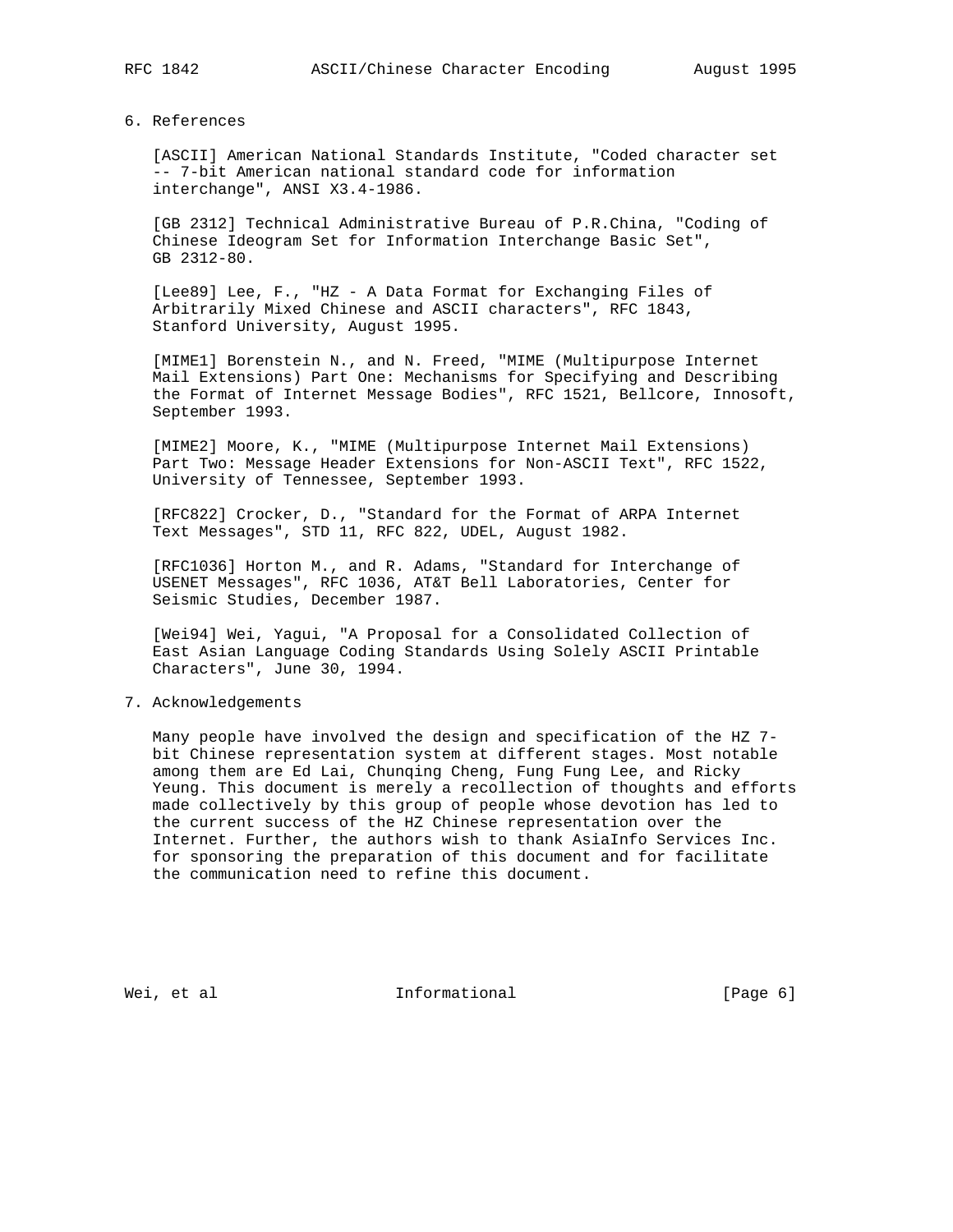#### 6. References

 [ASCII] American National Standards Institute, "Coded character set -- 7-bit American national standard code for information interchange", ANSI X3.4-1986.

 [GB 2312] Technical Administrative Bureau of P.R.China, "Coding of Chinese Ideogram Set for Information Interchange Basic Set", GB 2312-80.

 [Lee89] Lee, F., "HZ - A Data Format for Exchanging Files of Arbitrarily Mixed Chinese and ASCII characters", RFC 1843, Stanford University, August 1995.

 [MIME1] Borenstein N., and N. Freed, "MIME (Multipurpose Internet Mail Extensions) Part One: Mechanisms for Specifying and Describing the Format of Internet Message Bodies", RFC 1521, Bellcore, Innosoft, September 1993.

 [MIME2] Moore, K., "MIME (Multipurpose Internet Mail Extensions) Part Two: Message Header Extensions for Non-ASCII Text", RFC 1522, University of Tennessee, September 1993.

 [RFC822] Crocker, D., "Standard for the Format of ARPA Internet Text Messages", STD 11, RFC 822, UDEL, August 1982.

 [RFC1036] Horton M., and R. Adams, "Standard for Interchange of USENET Messages", RFC 1036, AT&T Bell Laboratories, Center for Seismic Studies, December 1987.

 [Wei94] Wei, Yagui, "A Proposal for a Consolidated Collection of East Asian Language Coding Standards Using Solely ASCII Printable Characters", June 30, 1994.

### 7. Acknowledgements

 Many people have involved the design and specification of the HZ 7 bit Chinese representation system at different stages. Most notable among them are Ed Lai, Chunqing Cheng, Fung Fung Lee, and Ricky Yeung. This document is merely a recollection of thoughts and efforts made collectively by this group of people whose devotion has led to the current success of the HZ Chinese representation over the Internet. Further, the authors wish to thank AsiaInfo Services Inc. for sponsoring the preparation of this document and for facilitate the communication need to refine this document.

Wei, et al **Informational Informational** [Page 6]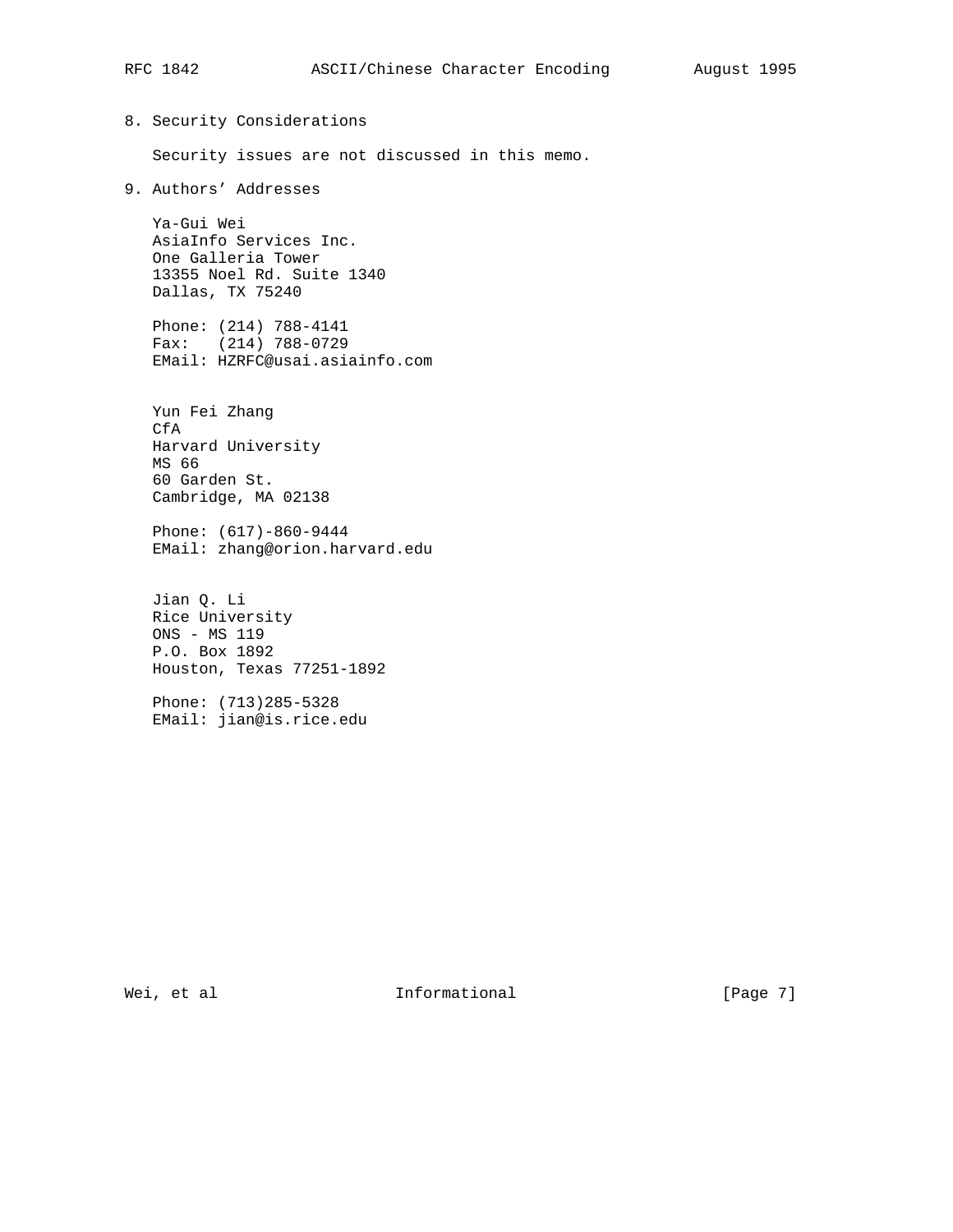# 8. Security Considerations Security issues are not discussed in this memo. 9. Authors' Addresses Ya-Gui Wei AsiaInfo Services Inc. One Galleria Tower 13355 Noel Rd. Suite 1340 Dallas, TX 75240 Phone: (214) 788-4141 Fax: (214) 788-0729 EMail: HZRFC@usai.asiainfo.com Yun Fei Zhang CfA Harvard University MS 66 60 Garden St. Cambridge, MA 02138 Phone: (617)-860-9444 EMail: zhang@orion.harvard.edu Jian Q. Li Rice University ONS - MS 119 P.O. Box 1892 Houston, Texas 77251-1892 Phone: (713)285-5328 EMail: jian@is.rice.edu

Wei, et al **Informational** [Page 7]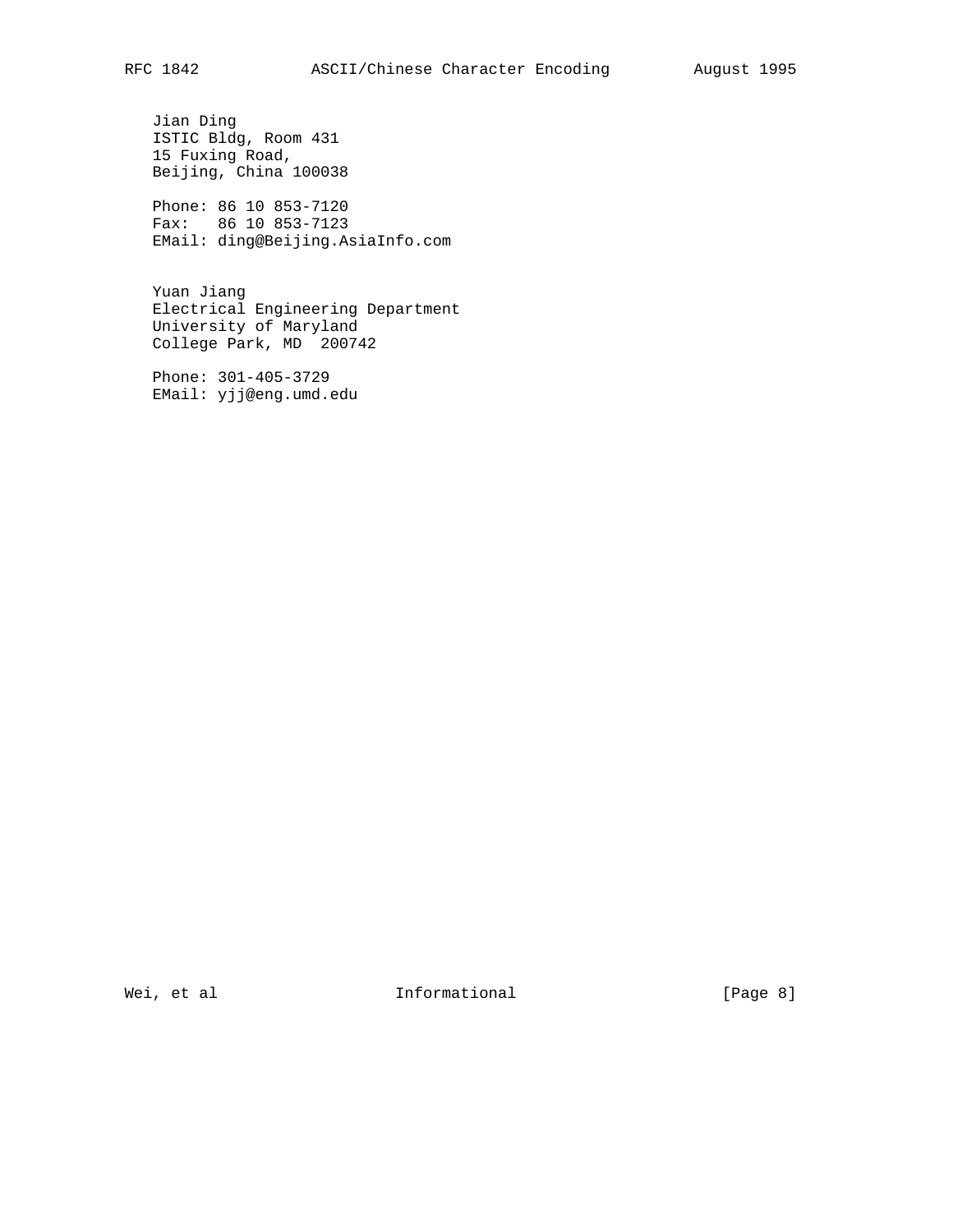Jian Ding ISTIC Bldg, Room 431 15 Fuxing Road, Beijing, China 100038

 Phone: 86 10 853-7120 Fax: 86 10 853-7123 EMail: ding@Beijing.AsiaInfo.com

 Yuan Jiang Electrical Engineering Department University of Maryland College Park, MD 200742

 Phone: 301-405-3729 EMail: yjj@eng.umd.edu

Wei, et al **Informational** [Page 8]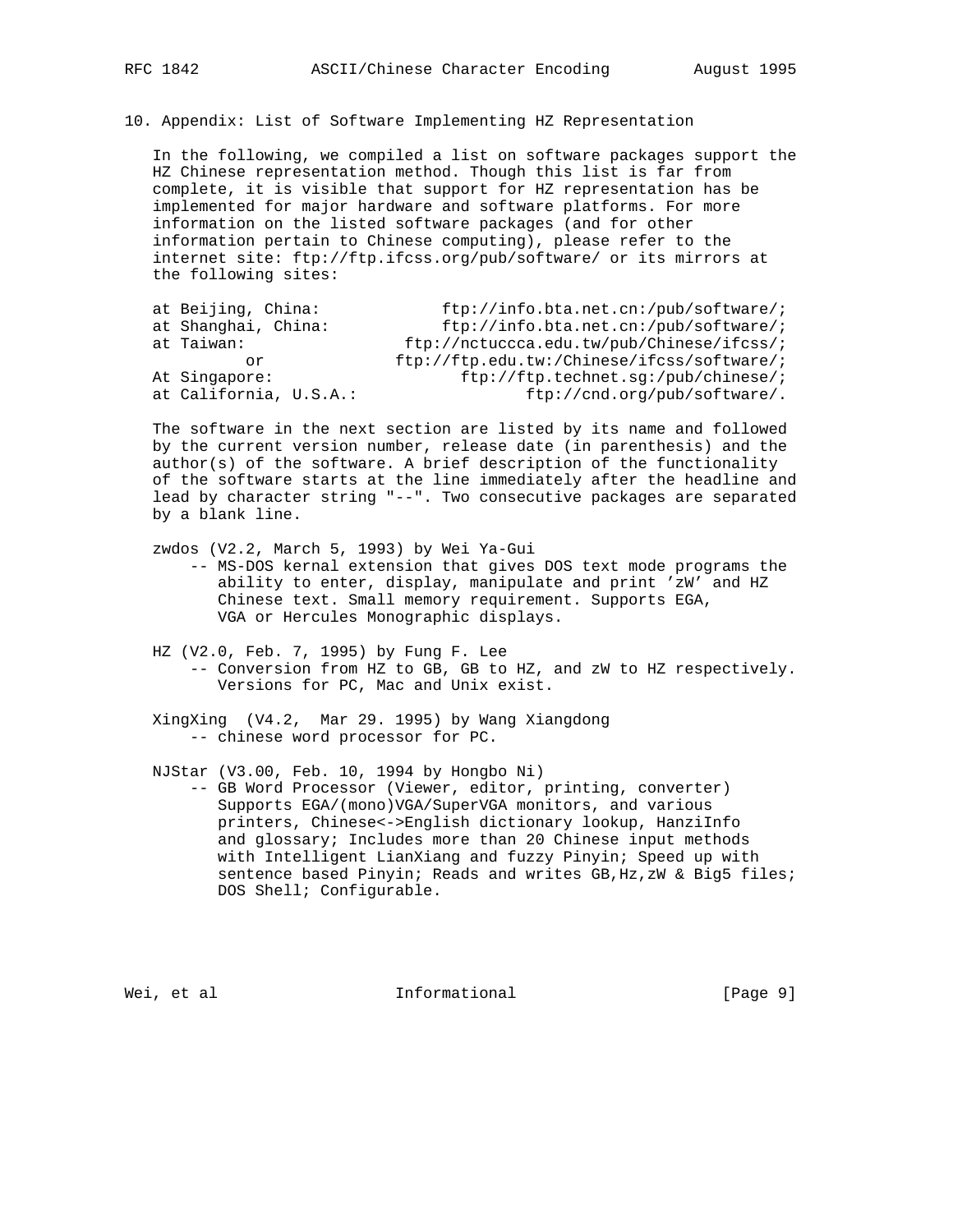10. Appendix: List of Software Implementing HZ Representation

 In the following, we compiled a list on software packages support the HZ Chinese representation method. Though this list is far from complete, it is visible that support for HZ representation has be implemented for major hardware and software platforms. For more information on the listed software packages (and for other information pertain to Chinese computing), please refer to the internet site: ftp://ftp.ifcss.org/pub/software/ or its mirrors at the following sites:

| at Beijing, China:     | $ftp://info.bta.net.cn://pub/software/i$       |
|------------------------|------------------------------------------------|
| at Shanghai, China:    | $ftp://info.bta.net.cn://pub/software/i$       |
| at Taiwan:             | $ftp://nctuccca.edu.tw/public/Chinese/ifcss/i$ |
| Ωr                     | $ftp://ftp.edu.tw://Chinese/ifcess/software/i$ |
| At Singapore:          | ftp://ftp.technet.sg:/pub/chinese/;            |
| at California, U.S.A.: | ftp://cnd.org/pub/software/.                   |
|                        |                                                |

 The software in the next section are listed by its name and followed by the current version number, release date (in parenthesis) and the author(s) of the software. A brief description of the functionality of the software starts at the line immediately after the headline and lead by character string "--". Two consecutive packages are separated by a blank line.

zwdos (V2.2, March 5, 1993) by Wei Ya-Gui

 -- MS-DOS kernal extension that gives DOS text mode programs the ability to enter, display, manipulate and print 'zW' and HZ Chinese text. Small memory requirement. Supports EGA, VGA or Hercules Monographic displays.

 HZ (V2.0, Feb. 7, 1995) by Fung F. Lee -- Conversion from HZ to GB, GB to HZ, and zW to HZ respectively. Versions for PC, Mac and Unix exist.

 XingXing (V4.2, Mar 29. 1995) by Wang Xiangdong -- chinese word processor for PC.

NJStar (V3.00, Feb. 10, 1994 by Hongbo Ni)

 -- GB Word Processor (Viewer, editor, printing, converter) Supports EGA/(mono)VGA/SuperVGA monitors, and various printers, Chinese<->English dictionary lookup, HanziInfo and glossary; Includes more than 20 Chinese input methods with Intelligent LianXiang and fuzzy Pinyin; Speed up with sentence based Pinyin; Reads and writes GB, Hz, zW & Big5 files; DOS Shell; Configurable.

Wei, et al informational informational [Page 9]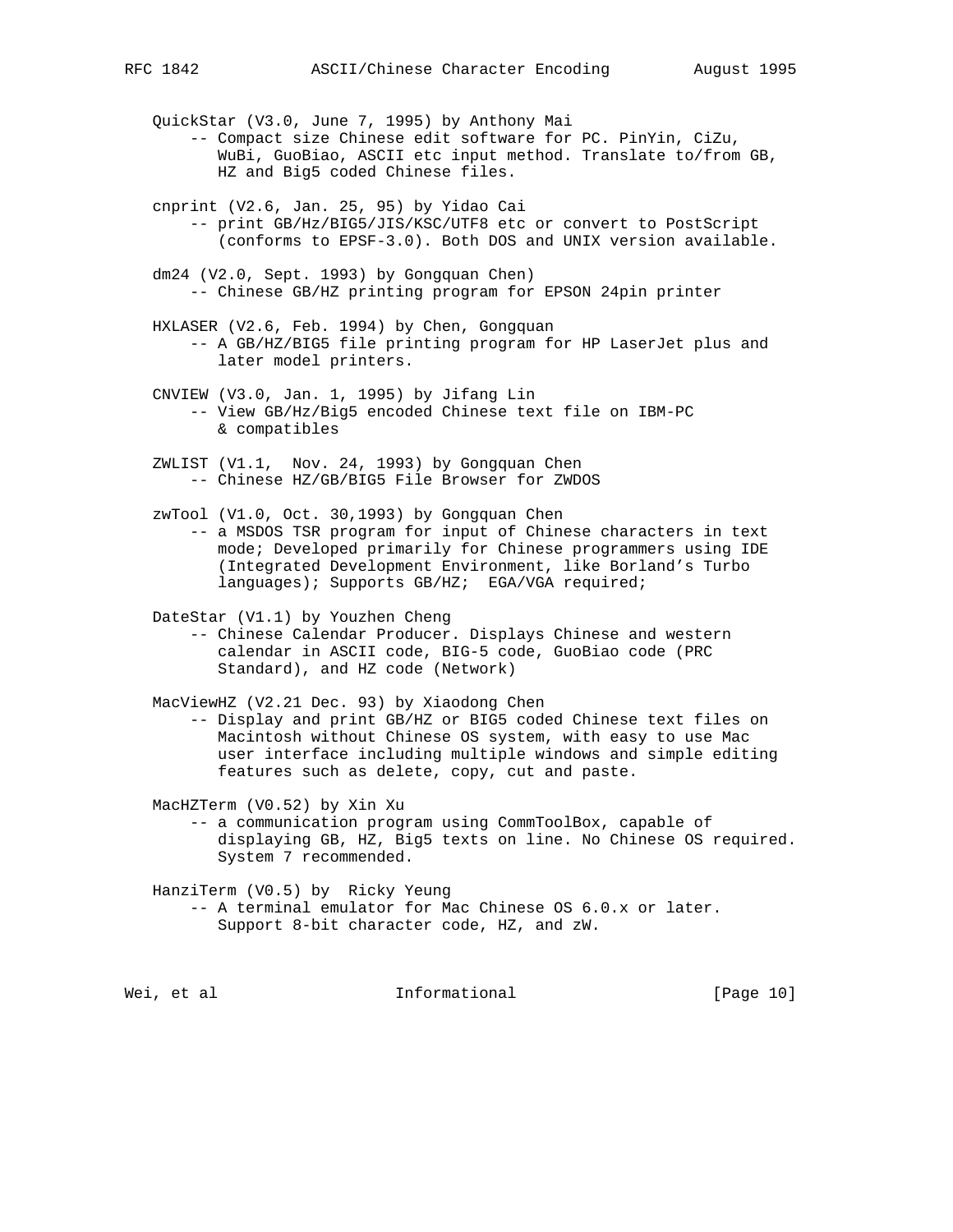- QuickStar (V3.0, June 7, 1995) by Anthony Mai -- Compact size Chinese edit software for PC. PinYin, CiZu, WuBi, GuoBiao, ASCII etc input method. Translate to/from GB, HZ and Big5 coded Chinese files.
- cnprint (V2.6, Jan. 25, 95) by Yidao Cai -- print GB/Hz/BIG5/JIS/KSC/UTF8 etc or convert to PostScript (conforms to EPSF-3.0). Both DOS and UNIX version available.
- dm24 (V2.0, Sept. 1993) by Gongquan Chen) -- Chinese GB/HZ printing program for EPSON 24pin printer
- HXLASER (V2.6, Feb. 1994) by Chen, Gongquan -- A GB/HZ/BIG5 file printing program for HP LaserJet plus and later model printers.
- CNVIEW (V3.0, Jan. 1, 1995) by Jifang Lin -- View GB/Hz/Big5 encoded Chinese text file on IBM-PC & compatibles
- ZWLIST (V1.1, Nov. 24, 1993) by Gongquan Chen -- Chinese HZ/GB/BIG5 File Browser for ZWDOS
- zwTool (V1.0, Oct. 30,1993) by Gongquan Chen -- a MSDOS TSR program for input of Chinese characters in text mode; Developed primarily for Chinese programmers using IDE (Integrated Development Environment, like Borland's Turbo languages); Supports GB/HZ; EGA/VGA required;

DateStar (V1.1) by Youzhen Cheng

 -- Chinese Calendar Producer. Displays Chinese and western calendar in ASCII code, BIG-5 code, GuoBiao code (PRC Standard), and HZ code (Network)

MacViewHZ (V2.21 Dec. 93) by Xiaodong Chen

 -- Display and print GB/HZ or BIG5 coded Chinese text files on Macintosh without Chinese OS system, with easy to use Mac user interface including multiple windows and simple editing features such as delete, copy, cut and paste.

MacHZTerm (V0.52) by Xin Xu

 -- a communication program using CommToolBox, capable of displaying GB, HZ, Big5 texts on line. No Chinese OS required. System 7 recommended.

HanziTerm (V0.5) by Ricky Yeung

 -- A terminal emulator for Mac Chinese OS 6.0.x or later. Support 8-bit character code, HZ, and zW.

Wei, et al informational informational [Page 10]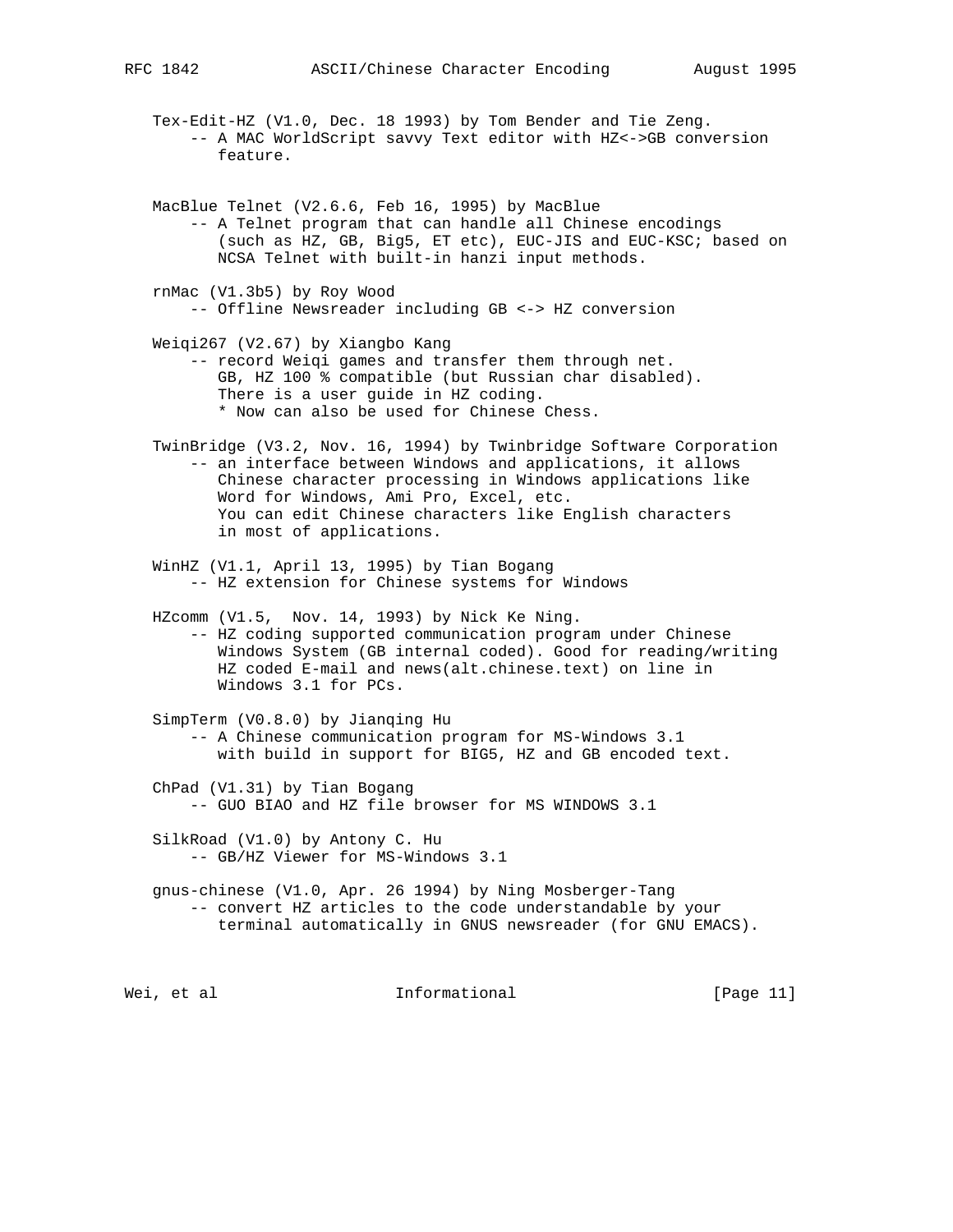Tex-Edit-HZ (V1.0, Dec. 18 1993) by Tom Bender and Tie Zeng. -- A MAC WorldScript savvy Text editor with HZ<->GB conversion feature.

- MacBlue Telnet (V2.6.6, Feb 16, 1995) by MacBlue -- A Telnet program that can handle all Chinese encodings (such as HZ, GB, Big5, ET etc), EUC-JIS and EUC-KSC; based on NCSA Telnet with built-in hanzi input methods.
- rnMac (V1.3b5) by Roy Wood -- Offline Newsreader including GB <-> HZ conversion
- Weiqi267 (V2.67) by Xiangbo Kang -- record Weiqi games and transfer them through net. GB, HZ 100 % compatible (but Russian char disabled). There is a user guide in HZ coding. \* Now can also be used for Chinese Chess.
- TwinBridge (V3.2, Nov. 16, 1994) by Twinbridge Software Corporation -- an interface between Windows and applications, it allows Chinese character processing in Windows applications like Word for Windows, Ami Pro, Excel, etc. You can edit Chinese characters like English characters in most of applications.
- WinHZ (V1.1, April 13, 1995) by Tian Bogang -- HZ extension for Chinese systems for Windows
- HZcomm (V1.5, Nov. 14, 1993) by Nick Ke Ning. -- HZ coding supported communication program under Chinese Windows System (GB internal coded). Good for reading/writing HZ coded E-mail and news(alt.chinese.text) on line in Windows 3.1 for PCs.
- SimpTerm (V0.8.0) by Jianqing Hu -- A Chinese communication program for MS-Windows 3.1 with build in support for BIG5, HZ and GB encoded text.
- ChPad (V1.31) by Tian Bogang -- GUO BIAO and HZ file browser for MS WINDOWS 3.1
- SilkRoad (V1.0) by Antony C. Hu -- GB/HZ Viewer for MS-Windows 3.1
- gnus-chinese (V1.0, Apr. 26 1994) by Ning Mosberger-Tang -- convert HZ articles to the code understandable by your terminal automatically in GNUS newsreader (for GNU EMACS).

Wei, et al  $I_n$  Informational  $[Page 11]$